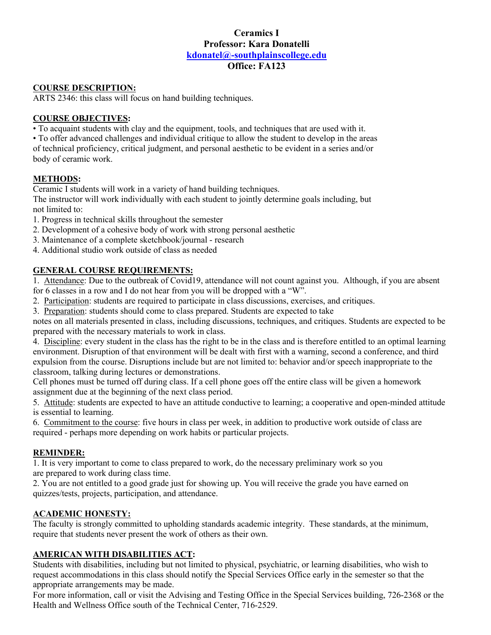# **Ceramics I Professor: Kara Donatelli kdonatel@-southplainscollege.edu Office: FA123**

### **COURSE DESCRIPTION:**

ARTS 2346: this class will focus on hand building techniques.

#### **COURSE OBJECTIVES:**

• To acquaint students with clay and the equipment, tools, and techniques that are used with it.

• To offer advanced challenges and individual critique to allow the student to develop in the areas of technical proficiency, critical judgment, and personal aesthetic to be evident in a series and/or body of ceramic work.

### **METHODS:**

Ceramic I students will work in a variety of hand building techniques.

The instructor will work individually with each student to jointly determine goals including, but not limited to:

- 1. Progress in technical skills throughout the semester
- 2. Development of a cohesive body of work with strong personal aesthetic
- 3. Maintenance of a complete sketchbook/journal research
- 4. Additional studio work outside of class as needed

### **GENERAL COURSE REQUIREMENTS:**

1. Attendance: Due to the outbreak of Covid19, attendance will not count against you. Although, if you are absent for 6 classes in a row and I do not hear from you will be dropped with a "W".

- 2. Participation: students are required to participate in class discussions, exercises, and critiques.
- 3. Preparation: students should come to class prepared. Students are expected to take

notes on all materials presented in class, including discussions, techniques, and critiques. Students are expected to be prepared with the necessary materials to work in class.

4. Discipline: every student in the class has the right to be in the class and is therefore entitled to an optimal learning environment. Disruption of that environment will be dealt with first with a warning, second a conference, and third expulsion from the course. Disruptions include but are not limited to: behavior and/or speech inappropriate to the classroom, talking during lectures or demonstrations.

Cell phones must be turned off during class. If a cell phone goes off the entire class will be given a homework assignment due at the beginning of the next class period.

5. Attitude: students are expected to have an attitude conductive to learning; a cooperative and open-minded attitude is essential to learning.

6. Commitment to the course: five hours in class per week, in addition to productive work outside of class are required - perhaps more depending on work habits or particular projects.

#### **REMINDER:**

1. It is very important to come to class prepared to work, do the necessary preliminary work so you are prepared to work during class time.

2. You are not entitled to a good grade just for showing up. You will receive the grade you have earned on quizzes/tests, projects, participation, and attendance.

#### **ACADEMIC HONESTY:**

The faculty is strongly committed to upholding standards academic integrity. These standards, at the minimum, require that students never present the work of others as their own.

## **AMERICAN WITH DISABILITIES ACT:**

Students with disabilities, including but not limited to physical, psychiatric, or learning disabilities, who wish to request accommodations in this class should notify the Special Services Office early in the semester so that the appropriate arrangements may be made.

For more information, call or visit the Advising and Testing Office in the Special Services building, 726-2368 or the Health and Wellness Office south of the Technical Center, 716-2529.